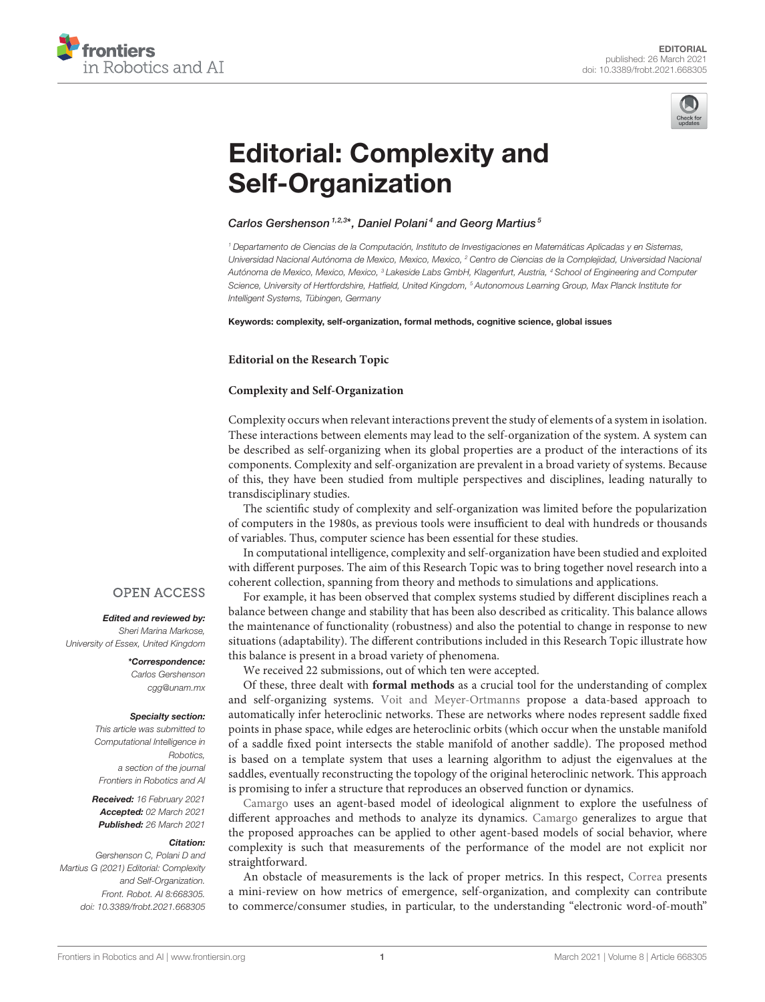



# [Editorial: Complexity and](https://www.frontiersin.org/articles/10.3389/frobt.2021.668305/full) Self-Organization

## Carlos Gershenson<sup>1,2,3\*</sup>, Daniel Polani<sup>4</sup> and Georg Martius<sup>5</sup>

<sup>1</sup> Departamento de Ciencias de la Computación, Instituto de Investigaciones en Matemáticas Aplicadas y en Sistemas, Universidad Nacional Autónoma de Mexico, Mexico, Mexico, <sup>2</sup> Centro de Ciencias de la Complejidad, Universidad Nacional Autónoma de Mexico, Mexico, Mexico, <sup>3</sup> Lakeside Labs GmbH, Klagenfurt, Austria, <sup>4</sup> School of Engineering and Computer Science, University of Hertfordshire, Hatfield, United Kingdom, <sup>5</sup> Autonomous Learning Group, Max Planck Institute for Intelligent Systems, Tübingen, Germany

Keywords: complexity, self-organization, formal methods, cognitive science, global issues

#### **Editorial on the Research Topic**

### **[Complexity and Self-Organization](https://www.frontiersin.org/research-topics/9585/complexity-and-self-organization)**

Complexity occurs when relevant interactions prevent the study of elements of a system in isolation. These interactions between elements may lead to the self-organization of the system. A system can be described as self-organizing when its global properties are a product of the interactions of its components. Complexity and self-organization are prevalent in a broad variety of systems. Because of this, they have been studied from multiple perspectives and disciplines, leading naturally to transdisciplinary studies.

The scientific study of complexity and self-organization was limited before the popularization of computers in the 1980s, as previous tools were insufficient to deal with hundreds or thousands of variables. Thus, computer science has been essential for these studies.

In computational intelligence, complexity and self-organization have been studied and exploited with different purposes. The aim of this Research Topic was to bring together novel research into a coherent collection, spanning from theory and methods to simulations and applications.

For example, it has been observed that complex systems studied by different disciplines reach a balance between change and stability that has been also described as criticality. This balance allows the maintenance of functionality (robustness) and also the potential to change in response to new situations (adaptability). The different contributions included in this Research Topic illustrate how this balance is present in a broad variety of phenomena.

We received 22 submissions, out of which ten were accepted.

Of these, three dealt with **formal methods** as a crucial tool for the understanding of complex and self-organizing systems. [Voit and Meyer-Ortmanns](https://doi.org/10.3389/fams.2019.00063) propose a data-based approach to automatically infer heteroclinic networks. These are networks where nodes represent saddle fixed points in phase space, while edges are heteroclinic orbits (which occur when the unstable manifold of a saddle fixed point intersects the stable manifold of another saddle). The proposed method is based on a template system that uses a learning algorithm to adjust the eigenvalues at the saddles, eventually reconstructing the topology of the original heteroclinic network. This approach is promising to infer a structure that reproduces an observed function or dynamics.

[Camargo](https://doi.org/10.3389/fphy.2020.00103) uses an agent-based model of ideological alignment to explore the usefulness of different approaches and methods to analyze its dynamics. [Camargo](https://doi.org/10.3389/fphy.2020.00103) generalizes to argue that the proposed approaches can be applied to other agent-based models of social behavior, where complexity is such that measurements of the performance of the model are not explicit nor straightforward.

An obstacle of measurements is the lack of proper metrics. In this respect, [Correa](https://doi.org/10.3389/fphy.2020.00035) presents a mini-review on how metrics of emergence, self-organization, and complexity can contribute to commerce/consumer studies, in particular, to the understanding "electronic word-of-mouth"

## **OPEN ACCESS**

# Edited and reviewed by:

Sheri Marina Markose, University of Essex, United Kingdom

> \*Correspondence: Carlos Gershenson [cgg@unam.mx](mailto:cgg@unam.mx)

#### Specialty section:

This article was submitted to Computational Intelligence in Robotics, a section of the journal Frontiers in Robotics and AI

Received: 16 February 2021 Accepted: 02 March 2021 Published: 26 March 2021

#### Citation:

Gershenson C, Polani D and Martius G (2021) Editorial: Complexity and Self-Organization. Front. Robot. AI 8:668305. doi: [10.3389/frobt.2021.668305](https://doi.org/10.3389/frobt.2021.668305)